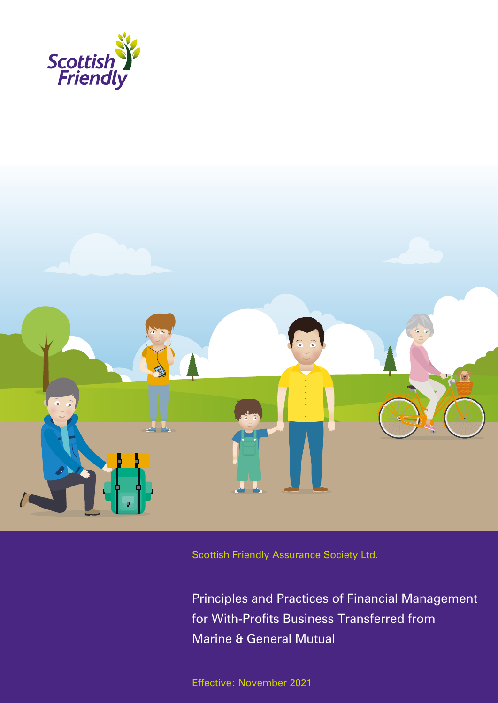



Scottish Friendly Assurance Society Ltd.

Principles and Practices of Financial Management for With-Profits Business Transferred from Marine & General Mutual

Effective: November 2021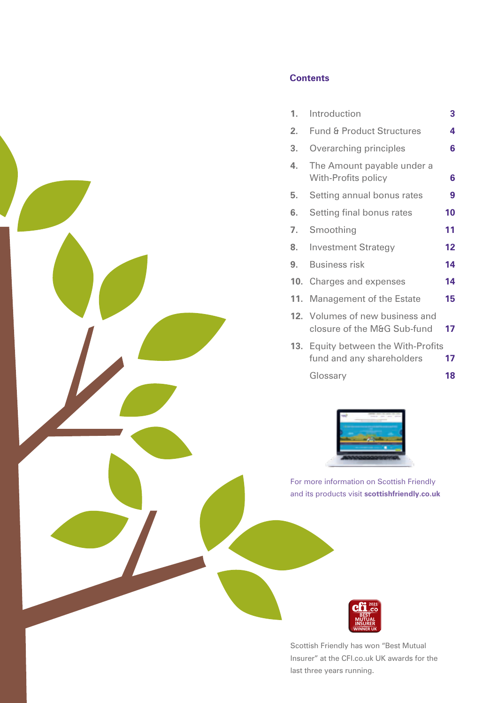

# **Contents**

| 1.  | Introduction                                                     | 3  |
|-----|------------------------------------------------------------------|----|
| 2.  | <b>Fund &amp; Product Structures</b>                             | 4  |
| 3.  | Overarching principles                                           | 6  |
| 4.  | The Amount payable under a<br>With-Profits policy                | 6  |
| 5.  | Setting annual bonus rates                                       | 9  |
| 6.  | Setting final bonus rates                                        | 10 |
| 7.  | Smoothing                                                        | 11 |
| 8.  | <b>Investment Strategy</b>                                       | 12 |
| 9.  | <b>Business risk</b>                                             | 14 |
|     | 10. Charges and expenses                                         | 14 |
| 11. | Management of the Estate                                         | 15 |
|     | 12. Volumes of new business and<br>closure of the M&G Sub-fund   | 17 |
|     | 13. Equity between the With-Profits<br>fund and any shareholders | 17 |
|     | Glossary                                                         | 18 |



For more information on Scottish Friendly and its products visit **scottishfriendly.co.uk** 



Scottish Friendly has won "Best Mutual Insurer" at the CFI.co.uk UK awards for the last three years running.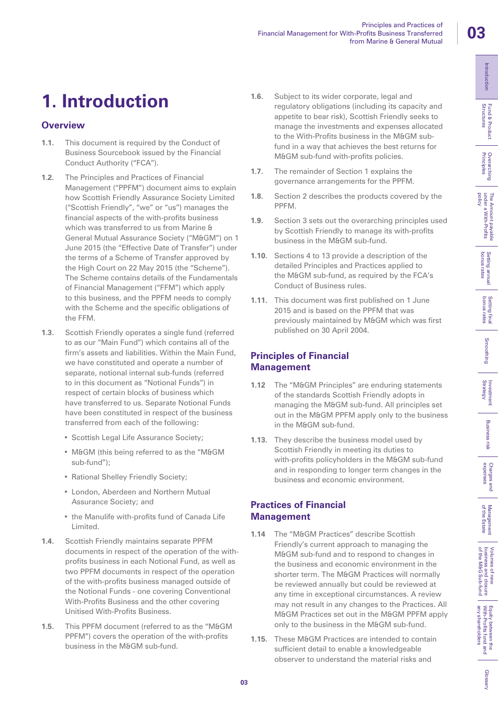bollicy

Glossan

# **1. Introduction**

# **Overview**

- **1.1.** This document is required by the Conduct of Business Sourcebook issued by the Financial Conduct Authority ("FCA").
- **1.2.** The Principles and Practices of Financial Management ("PPFM") document aims to explain how Scottish Friendly Assurance Society Limited ("Scottish Friendly", "we" or "us") manages the financial aspects of the with-profits business which was transferred to us from Marine & General Mutual Assurance Society ("M&GM") on 1 June 2015 (the "Effective Date of Transfer") under the terms of a Scheme of Transfer approved by the High Court on 22 May 2015 (the "Scheme"). The Scheme contains details of the Fundamentals of Financial Management ("FFM") which apply to this business, and the PPFM needs to comply with the Scheme and the specific obligations of the FFM.
- **1.3.** Scottish Friendly operates a single fund (referred to as our "Main Fund") which contains all of the firm's assets and liabilities. Within the Main Fund, we have constituted and operate a number of separate, notional internal sub-funds (referred to in this document as "Notional Funds") in respect of certain blocks of business which have transferred to us. Separate Notional Funds have been constituted in respect of the business transferred from each of the following:
	- Scottish Legal Life Assurance Society;
	- M&GM (this being referred to as the "M&GM sub-fund");
	- Rational Shelley Friendly Society;
	- London, Aberdeen and Northern Mutual Assurance Society; and
	- the Manulife with-profits fund of Canada Life Limited.
- **1.4.** Scottish Friendly maintains separate PPFM documents in respect of the operation of the withprofits business in each Notional Fund, as well as two PPFM documents in respect of the operation of the with-profits business managed outside of the Notional Funds - one covering Conventional With-Profits Business and the other covering Unitised With-Profits Business.
- 1.5. This PPFM document (referred to as the "M&GM PPFM") covers the operation of the with-profits business in the M&GM sub-fund.
- **1.6.** Subject to its wider corporate, legal and regulatory obligations (including its capacity and appetite to bear risk), Scottish Friendly seeks to manage the investments and expenses allocated to the With-Profits business in the M&GM subfund in a way that achieves the best returns for M&GM sub-fund with-profits policies.
- **1.7.** The remainder of Section 1 explains the governance arrangements for the PPFM.
- **1.8.** Section 2 describes the products covered by the PPFM.
- **1.9.** Section 3 sets out the overarching principles used by Scottish Friendly to manage its with-profits business in the M&GM sub-fund.
- **1.10.** Sections 4 to 13 provide a description of the detailed Principles and Practices applied to the M&GM sub-fund, as required by the FCA's Conduct of Business rules.
- **1.11.** This document was first published on 1 June 2015 and is based on the PPFM that was previously maintained by M&GM which was first published on 30 April 2004.

## **Principles of Financial Management**

- **1.12** The "M&GM Principles" are enduring statements of the standards Scottish Friendly adopts in managing the M&GM sub-fund. All principles set out in the M&GM PPFM apply only to the business in the M&GM sub-fund.
- **1.13.** They describe the business model used by Scottish Friendly in meeting its duties to with-profits policyholders in the M&GM sub-fund and in responding to longer term changes in the business and economic environment.

## **Practices of Financial Management**

- **1.14** The "M&GM Practices" describe Scottish Friendly's current approach to managing the M&GM sub-fund and to respond to changes in the business and economic environment in the shorter term. The M&GM Practices will normally be reviewed annually but could be reviewed at any time in exceptional circumstances. A review may not result in any changes to the Practices. All M&GM Practices set out in the M&GM PPFM apply only to the business in the M&GM sub-fund.
- **1.15.** These M&GM Practices are intended to contain sufficient detail to enable a knowledgeable observer to understand the material risks and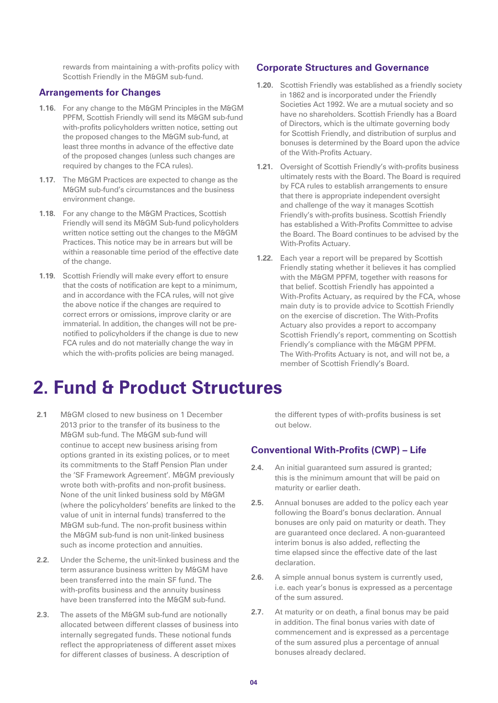rewards from maintaining a with-profits policy with Scottish Friendly in the M&GM sub-fund.

## **Arrangements for Changes**

- **1.16.** For any change to the M&GM Principles in the M&GM PPFM, Scottish Friendly will send its M&GM sub-fund with-profits policyholders written notice, setting out the proposed changes to the M&GM sub-fund, at least three months in advance of the effective date of the proposed changes (unless such changes are required by changes to the FCA rules).
- **1.17.** The M&GM Practices are expected to change as the M&GM sub-fund's circumstances and the business environment change.
- **1.18.** For any change to the M&GM Practices, Scottish Friendly will send its M&GM Sub-fund policyholders written notice setting out the changes to the M&GM Practices. This notice may be in arrears but will be within a reasonable time period of the effective date of the change.
- **1.19.** Scottish Friendly will make every effort to ensure that the costs of notification are kept to a minimum, and in accordance with the FCA rules, will not give the above notice if the changes are required to correct errors or omissions, improve clarity or are immaterial. In addition, the changes will not be prenotified to policyholders if the change is due to new FCA rules and do not materially change the way in which the with-profits policies are being managed.

#### **Corporate Structures and Governance**

- **1.20.** Scottish Friendly was established as a friendly society in 1862 and is incorporated under the Friendly Societies Act 1992. We are a mutual society and so have no shareholders. Scottish Friendly has a Board of Directors, which is the ultimate governing body for Scottish Friendly, and distribution of surplus and bonuses is determined by the Board upon the advice of the With-Profits Actuary.
- **1.21.** Oversight of Scottish Friendly's with-profits business ultimately rests with the Board. The Board is required by FCA rules to establish arrangements to ensure that there is appropriate independent oversight and challenge of the way it manages Scottish Friendly's with-profits business. Scottish Friendly has established a With-Profits Committee to advise the Board. The Board continues to be advised by the With-Profits Actuary.
- **1.22.** Each year a report will be prepared by Scottish Friendly stating whether it believes it has complied with the M&GM PPFM, together with reasons for that belief. Scottish Friendly has appointed a With-Profits Actuary, as required by the FCA, whose main duty is to provide advice to Scottish Friendly on the exercise of discretion. The With-Profits Actuary also provides a report to accompany Scottish Friendly's report, commenting on Scottish Friendly's compliance with the M&GM PPFM. The With-Profits Actuary is not, and will not be, a member of Scottish Friendly's Board.

# **2. Fund & Product Structures**

- **2.1** M&GM closed to new business on 1 December 2013 prior to the transfer of its business to the M&GM sub-fund. The M&GM sub-fund will continue to accept new business arising from options granted in its existing polices, or to meet its commitments to the Staff Pension Plan under the 'SF Framework Agreement'. M&GM previously wrote both with-profits and non-profit business. None of the unit linked business sold by M&GM (where the policyholders' benefits are linked to the value of unit in internal funds) transferred to the M&GM sub-fund. The non-profit business within the M&GM sub-fund is non unit-linked business such as income protection and annuities.
- **2.2.** Under the Scheme, the unit-linked business and the term assurance business written by M&GM have been transferred into the main SF fund. The with-profits business and the annuity business have been transferred into the M&GM sub-fund.
- **2.3.** The assets of the M&GM sub-fund are notionally allocated between different classes of business into internally segregated funds. These notional funds reflect the appropriateness of different asset mixes for different classes of business. A description of

the different types of with-profits business is set out below.

#### **Conventional With-Profits (CWP) – Life**

- **2.4.** An initial guaranteed sum assured is granted; this is the minimum amount that will be paid on maturity or earlier death.
- **2.5.** Annual bonuses are added to the policy each year following the Board's bonus declaration. Annual bonuses are only paid on maturity or death. They are guaranteed once declared. A non-guaranteed interim bonus is also added, reflecting the time elapsed since the effective date of the last declaration.
- **2.6.** A simple annual bonus system is currently used, i.e. each year's bonus is expressed as a percentage of the sum assured.
- **2.7.** At maturity or on death, a final bonus may be paid in addition. The final bonus varies with date of commencement and is expressed as a percentage of the sum assured plus a percentage of annual bonuses already declared.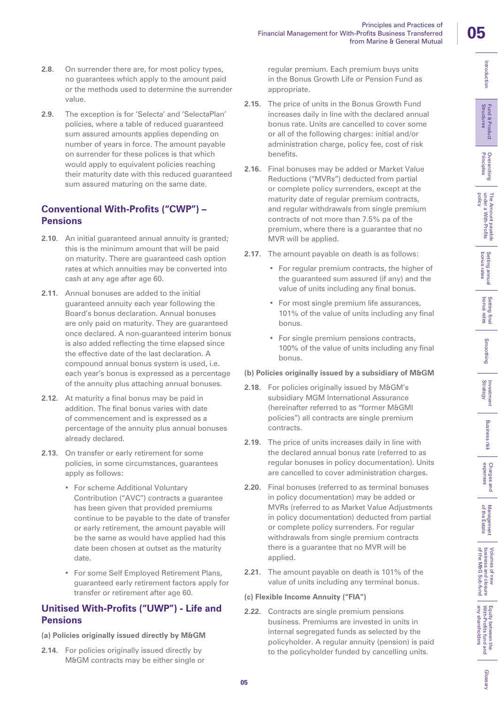of the Estate Management

Glossan

**2.8.** On surrender there are, for most policy types, no guarantees which apply to the amount paid or the methods used to determine the surrender value.

**2.9.** The exception is for 'Selecta' and 'SelectaPlan' policies, where a table of reduced guaranteed sum assured amounts applies depending on number of years in force. The amount payable on surrender for these polices is that which would apply to equivalent policies reaching their maturity date with this reduced guaranteed sum assured maturing on the same date.

## **Conventional With-Profits ("CWP") – Pensions**

- **2.10**. An initial guaranteed annual annuity is granted; this is the minimum amount that will be paid on maturity. There are guaranteed cash option rates at which annuities may be converted into cash at any age after age 60.
- **2.11.** Annual bonuses are added to the initial guaranteed annuity each year following the Board's bonus declaration. Annual bonuses are only paid on maturity. They are guaranteed once declared. A non-guaranteed interim bonus is also added reflecting the time elapsed since the effective date of the last declaration. A compound annual bonus system is used, i.e. each year's bonus is expressed as a percentage of the annuity plus attaching annual bonuses.
- **2.12.** At maturity a final bonus may be paid in addition. The final bonus varies with date of commencement and is expressed as a percentage of the annuity plus annual bonuses already declared.
- **2.13.** On transfer or early retirement for some policies, in some circumstances, guarantees apply as follows:
	- For scheme Additional Voluntary Contribution ("AVC") contracts a guarantee has been given that provided premiums continue to be payable to the date of transfer or early retirement, the amount payable will be the same as would have applied had this date been chosen at outset as the maturity date.
	- For some Self Employed Retirement Plans, guaranteed early retirement factors apply for transfer or retirement after age 60.

## **Unitised With-Profits ("UWP") - Life and Pensions**

#### **(a) Policies originally issued directly by M&GM**

**2.14.** For policies originally issued directly by M&GM contracts may be either single or regular premium. Each premium buys units in the Bonus Growth Life or Pension Fund as appropriate.

Financial Management for With-Profits Business Transferred

Principles and Practices of

from Marine & General Mutual

- **2.15.** The price of units in the Bonus Growth Fund increases daily in line with the declared annual bonus rate. Units are cancelled to cover some or all of the following charges: initial and/or administration charge, policy fee, cost of risk benefits.
- **2.16.** Final bonuses may be added or Market Value Reductions ("MVRs") deducted from partial or complete policy surrenders, except at the maturity date of regular premium contracts, and regular withdrawals from single premium contracts of not more than 7.5% pa of the premium, where there is a guarantee that no MVR will be applied.
- **2.17.** The amount payable on death is as follows:
	- For regular premium contracts, the higher of the guaranteed sum assured (if any) and the value of units including any final bonus.
	- For most single premium life assurances, 101% of the value of units including any final bonus.
	- For single premium pensions contracts, 100% of the value of units including any final bonus.

#### **(b) Policies originally issued by a subsidiary of M&GM**

- 2.18. For policies originally issued by M&GM's subsidiary MGM International Assurance (hereinafter referred to as "former M&GMI policies") all contracts are single premium contracts.
- **2.19.** The price of units increases daily in line with the declared annual bonus rate (referred to as regular bonuses in policy documentation). Units are cancelled to cover administration charges.
- **2.20.** Final bonuses (referred to as terminal bonuses in policy documentation) may be added or MVRs (referred to as Market Value Adjustments in policy documentation) deducted from partial or complete policy surrenders. For regular withdrawals from single premium contracts there is a guarantee that no MVR will be applied.
- **2.21.** The amount payable on death is 101% of the value of units including any terminal bonus.

#### **(c) Flexible Income Annuity ("FIA")**

**2.22.** Contracts are single premium pensions business. Premiums are invested in units in internal segregated funds as selected by the policyholder. A regular annuity (pension) is paid to the policyholder funded by cancelling units.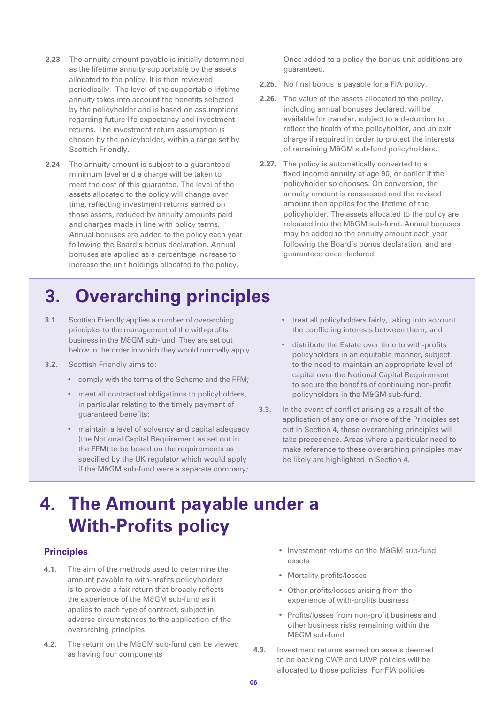- **2.23.** The annuity amount payable is initially determined as the lifetime annuity supportable by the assets allocated to the policy. It is then reviewed periodically. The level of the supportable lifetime annuity takes into account the benefits selected by the policyholder and is based on assumptions regarding future life expectancy and investment returns. The investment return assumption is chosen by the policyholder, within a range set by Scottish Friendly.
- **2.24.** The annuity amount is subject to a guaranteed minimum level and a charge will be taken to meet the cost of this guarantee. The level of the assets allocated to the policy will change over time, reflecting investment returns earned on those assets, reduced by annuity amounts paid and charges made in line with policy terms. Annual bonuses are added to the policy each year following the Board's bonus declaration. Annual bonuses are applied as a percentage increase to increase the unit holdings allocated to the policy.

Once added to a policy the bonus unit additions are guaranteed.

- **2.25.** No final bonus is payable for a FIA policy.
- **2.26.** The value of the assets allocated to the policy, including annual bonuses declared, will be available for transfer, subject to a deduction to reflect the health of the policyholder, and an exit charge if required in order to protect the interests of remaining M&GM sub-fund policyholders.
- **2.27.** The policy is automatically converted to a fixed income annuity at age 90, or earlier if the policyholder so chooses. On conversion, the annuity amount is reassessed and the revised amount then applies for the lifetime of the policyholder. The assets allocated to the policy are released into the M&GM sub-fund. Annual bonuses may be added to the annuity amount each year following the Board's bonus declaration, and are guaranteed once declared.

# **3. Overarching principles**

- **3.1.** Scottish Friendly applies a number of overarching principles to the management of the with-profits business in the M&GM sub-fund. They are set out below in the order in which they would normally apply.
- **3.2.** Scottish Friendly aims to:
	- comply with the terms of the Scheme and the FFM;
	- meet all contractual obligations to policyholders, in particular relating to the timely payment of guaranteed benefits;
	- maintain a level of solvency and capital adequacy (the Notional Capital Requirement as set out in the FFM) to be based on the requirements as specified by the UK regulator which would apply if the M&GM sub-fund were a separate company;
- treat all policyholders fairly, taking into account the conflicting interests between them; and
- distribute the Estate over time to with-profits policyholders in an equitable manner, subject to the need to maintain an appropriate level of capital over the Notional Capital Requirement to secure the benefits of continuing non-profit policyholders in the M&GM sub-fund.
- **3.3.** In the event of conflict arising as a result of the application of any one or more of the Principles set out in Section 4, these overarching principles will take precedence. Areas where a particular need to make reference to these overarching principles may be likely are highlighted in Section 4.

# **4. The Amount payable under a With-Profits policy**

## **Principles**

- **4.1.** The aim of the methods used to determine the amount payable to with-profits policyholders is to provide a fair return that broadly reflects the experience of the M&GM sub-fund as it applies to each type of contract, subject in adverse circumstances to the application of the overarching principles.
- **4.2.** The return on the M&GM sub-fund can be viewed as having four components
- Investment returns on the M&GM sub-fund assets
- Mortality profits/losses
- Other profits/losses arising from the experience of with-profits business
- Profits/losses from non-profit business and other business risks remaining within the M&GM sub-fund
- **4.3.** Investment returns earned on assets deemed to be backing CWP and UWP policies will be allocated to those policies. For FIA policies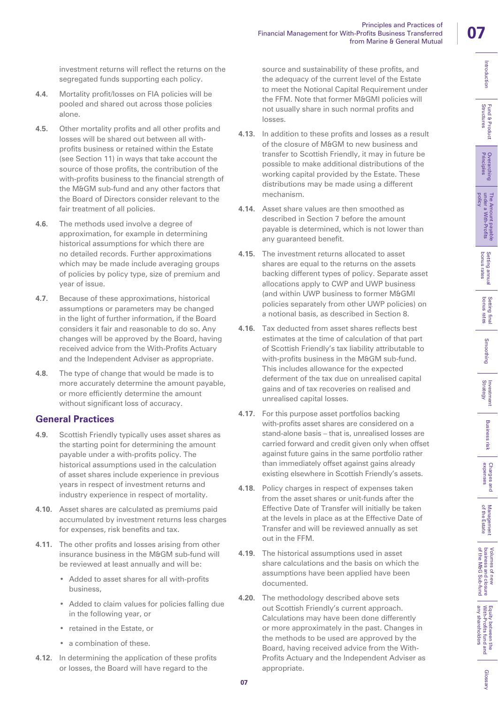Principles and Practices of

from Marine & General Mutual

Glossan

investment returns will reflect the returns on the segregated funds supporting each policy.

- **4.4.** Mortality profit/losses on FIA policies will be pooled and shared out across those policies alone.
- **4.5.** Other mortality profits and all other profits and losses will be shared out between all withprofits business or retained within the Estate (see Section 11) in ways that take account the source of those profits, the contribution of the with-profits business to the financial strength of the M&GM sub-fund and any other factors that the Board of Directors consider relevant to the fair treatment of all policies.
- **4.6.** The methods used involve a degree of approximation, for example in determining historical assumptions for which there are no detailed records. Further approximations which may be made include averaging groups of policies by policy type, size of premium and year of issue.
- **4.7.** Because of these approximations, historical assumptions or parameters may be changed in the light of further information, if the Board considers it fair and reasonable to do so. Any changes will be approved by the Board, having received advice from the With-Profits Actuary and the Independent Adviser as appropriate.
- **4.8.** The type of change that would be made is to more accurately determine the amount payable, or more efficiently determine the amount without significant loss of accuracy.

## **General Practices**

- **4.9.** Scottish Friendly typically uses asset shares as the starting point for determining the amount payable under a with-profits policy. The historical assumptions used in the calculation of asset shares include experience in previous years in respect of investment returns and industry experience in respect of mortality.
- **4.10.** Asset shares are calculated as premiums paid accumulated by investment returns less charges for expenses, risk benefits and tax.
- **4.11.** The other profits and losses arising from other insurance business in the M&GM sub-fund will be reviewed at least annually and will be:
	- Added to asset shares for all with-profits business,
	- Added to claim values for policies falling due in the following year, or
	- retained in the Estate, or
	- a combination of these.
- **4.12.** In determining the application of these profits or losses, the Board will have regard to the

source and sustainability of these profits, and the adequacy of the current level of the Estate to meet the Notional Capital Requirement under the FFM. Note that former M&GMI policies will not usually share in such normal profits and losses.

Financial Management for With-Profits Business Transferred

- **4.13.** In addition to these profits and losses as a result of the closure of M&GM to new business and transfer to Scottish Friendly, it may in future be possible to make additional distributions of the working capital provided by the Estate. These distributions may be made using a different mechanism.
- **4.14.** Asset share values are then smoothed as described in Section 7 before the amount payable is determined, which is not lower than any guaranteed benefit.
- **4.15.** The investment returns allocated to asset shares are equal to the returns on the assets backing different types of policy. Separate asset allocations apply to CWP and UWP business (and within UWP business to former M&GMI policies separately from other UWP policies) on a notional basis, as described in Section 8.
- **4.16.** Tax deducted from asset shares reflects best estimates at the time of calculation of that part of Scottish Friendly's tax liability attributable to with-profits business in the M&GM sub-fund. This includes allowance for the expected deferment of the tax due on unrealised capital gains and of tax recoveries on realised and unrealised capital losses.
- **4.17.** For this purpose asset portfolios backing with-profits asset shares are considered on a stand-alone basis – that is, unrealised losses are carried forward and credit given only when offset against future gains in the same portfolio rather than immediately offset against gains already existing elsewhere in Scottish Friendly's assets.
- **4.18.** Policy charges in respect of expenses taken from the asset shares or unit-funds after the Effective Date of Transfer will initially be taken at the levels in place as at the Effective Date of Transfer and will be reviewed annually as set out in the FFM.
- **4.19.** The historical assumptions used in asset share calculations and the basis on which the assumptions have been applied have been documented.
- **4.20.** The methodology described above sets out Scottish Friendly's current approach. Calculations may have been done differently or more approximately in the past. Changes in the methods to be used are approved by the Board, having received advice from the With-Profits Actuary and the Independent Adviser as appropriate.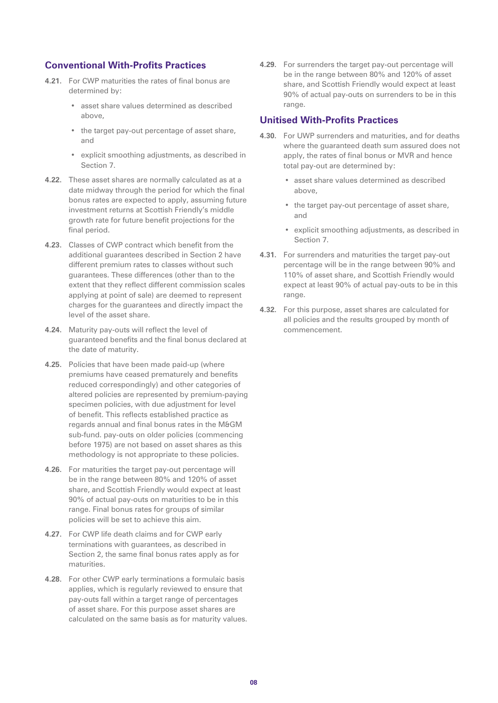#### **Conventional With-Profits Practices**

- **4.21.** For CWP maturities the rates of final bonus are determined by:
	- asset share values determined as described above,
	- the target pay-out percentage of asset share, and
	- explicit smoothing adjustments, as described in Section 7.
- **4.22.** These asset shares are normally calculated as at a date midway through the period for which the final bonus rates are expected to apply, assuming future investment returns at Scottish Friendly's middle growth rate for future benefit projections for the final period.
- **4.23.** Classes of CWP contract which benefit from the additional guarantees described in Section 2 have different premium rates to classes without such guarantees. These differences (other than to the extent that they reflect different commission scales applying at point of sale) are deemed to represent charges for the guarantees and directly impact the level of the asset share.
- **4.24.** Maturity pay-outs will reflect the level of guaranteed benefits and the final bonus declared at the date of maturity.
- **4.25.** Policies that have been made paid-up (where premiums have ceased prematurely and benefits reduced correspondingly) and other categories of altered policies are represented by premium-paying specimen policies, with due adjustment for level of benefit. This reflects established practice as regards annual and final bonus rates in the M&GM sub-fund. pay-outs on older policies (commencing before 1975) are not based on asset shares as this methodology is not appropriate to these policies.
- **4.26.** For maturities the target pay-out percentage will be in the range between 80% and 120% of asset share, and Scottish Friendly would expect at least 90% of actual pay-outs on maturities to be in this range. Final bonus rates for groups of similar policies will be set to achieve this aim.
- **4.27.** For CWP life death claims and for CWP early terminations with guarantees, as described in Section 2, the same final bonus rates apply as for maturities.
- **4.28.** For other CWP early terminations a formulaic basis applies, which is regularly reviewed to ensure that pay-outs fall within a target range of percentages of asset share. For this purpose asset shares are calculated on the same basis as for maturity values.

**4.29.** For surrenders the target pay-out percentage will be in the range between 80% and 120% of asset share, and Scottish Friendly would expect at least 90% of actual pay-outs on surrenders to be in this range.

#### **Unitised With-Profits Practices**

- **4.30.** For UWP surrenders and maturities, and for deaths where the guaranteed death sum assured does not apply, the rates of final bonus or MVR and hence total pay-out are determined by:
	- asset share values determined as described above,
	- the target pay-out percentage of asset share, and
	- explicit smoothing adjustments, as described in Section 7.
- **4.31.** For surrenders and maturities the target pay-out percentage will be in the range between 90% and 110% of asset share, and Scottish Friendly would expect at least 90% of actual pay-outs to be in this range.
- **4.32.** For this purpose, asset shares are calculated for all policies and the results grouped by month of commencement.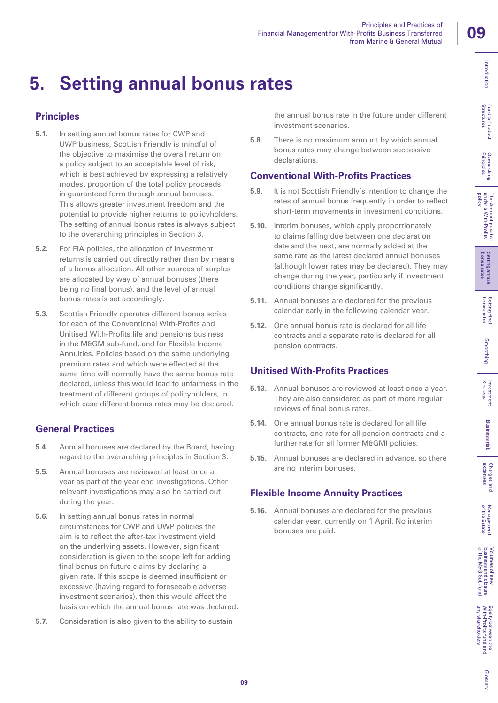Introduction

Fund & Product<br>Structures

**Overarching**<br>Principles

The Amount payable<br>under a With-Profits

Setting annual<br>bonus rates

bolicy

# **5. Setting annual bonus rates**

# **Principles**

- **5.1.** In setting annual bonus rates for CWP and UWP business, Scottish Friendly is mindful of the objective to maximise the overall return on a policy subject to an acceptable level of risk, which is best achieved by expressing a relatively modest proportion of the total policy proceeds in guaranteed form through annual bonuses. This allows greater investment freedom and the potential to provide higher returns to policyholders. The setting of annual bonus rates is always subject to the overarching principles in Section 3.
- **5.2.** For FIA policies, the allocation of investment returns is carried out directly rather than by means of a bonus allocation. All other sources of surplus are allocated by way of annual bonuses (there being no final bonus), and the level of annual bonus rates is set accordingly.
- **5.3.** Scottish Friendly operates different bonus series for each of the Conventional With-Profits and Unitised With-Profits life and pensions business in the M&GM sub-fund, and for Flexible Income Annuities. Policies based on the same underlying premium rates and which were effected at the same time will normally have the same bonus rate declared, unless this would lead to unfairness in the treatment of different groups of policyholders, in which case different bonus rates may be declared.

# **General Practices**

- **5.4**. Annual bonuses are declared by the Board, having regard to the overarching principles in Section 3.
- **5.5.** Annual bonuses are reviewed at least once a year as part of the year end investigations. Other relevant investigations may also be carried out during the year.
- **5.6.** In setting annual bonus rates in normal circumstances for CWP and UWP policies the aim is to reflect the after-tax investment yield on the underlying assets. However, significant consideration is given to the scope left for adding final bonus on future claims by declaring a given rate. If this scope is deemed insufficient or excessive (having regard to foreseeable adverse investment scenarios), then this would affect the basis on which the annual bonus rate was declared.
- **5.7.** Consideration is also given to the ability to sustain

**09**

the annual bonus rate in the future under different investment scenarios.

**5.8.** There is no maximum amount by which annual bonus rates may change between successive declarations.

# **Conventional With-Profits Practices**

- **5.9.** It is not Scottish Friendly's intention to change the rates of annual bonus frequently in order to reflect short-term movements in investment conditions.
- **5.10.** Interim bonuses, which apply proportionately to claims falling due between one declaration date and the next, are normally added at the same rate as the latest declared annual bonuses (although lower rates may be declared). They may change during the year, particularly if investment conditions change significantly.
- **5.11.** Annual bonuses are declared for the previous calendar early in the following calendar year.
- **5.12.** One annual bonus rate is declared for all life contracts and a separate rate is declared for all pension contracts.

# **Unitised With-Profits Practices**

- **5.13.** Annual bonuses are reviewed at least once a year. They are also considered as part of more regular reviews of final bonus rates.
- **5.14.** One annual bonus rate is declared for all life contracts, one rate for all pension contracts and a further rate for all former M&GMI policies.
- **5.15.** Annual bonuses are declared in advance, so there are no interim bonuses.

# **Flexible Income Annuity Practices**

**5.16.** Annual bonuses are declared for the previous calendar year, currently on 1 April. No interim bonuses are paid.

of the Estate Management

Management<br>of the Estate

of the M&G Sub-fund business and closure Volumes of new

Volumes of new Equity between the<br>business and closure With-Profits fund and<br>of the M6G Sub-fund I any shareholders

any shareholders With-Profits fund and

Investment<br>Strategy

**Business** iisk

Charges and<br>expenses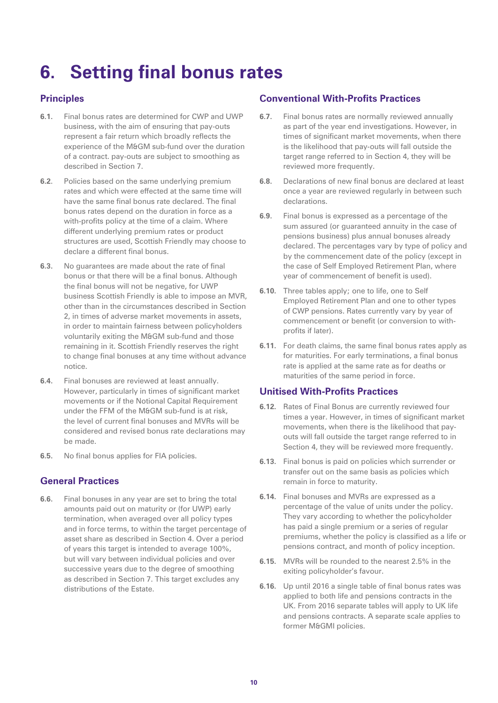# **6. Setting final bonus rates**

## **Principles**

- **6.1.** Final bonus rates are determined for CWP and UWP business, with the aim of ensuring that pay-outs represent a fair return which broadly reflects the experience of the M&GM sub-fund over the duration of a contract. pay-outs are subject to smoothing as described in Section 7.
- **6.2**. Policies based on the same underlying premium rates and which were effected at the same time will have the same final bonus rate declared. The final bonus rates depend on the duration in force as a with-profits policy at the time of a claim. Where different underlying premium rates or product structures are used, Scottish Friendly may choose to declare a different final bonus.
- **6.3.** No guarantees are made about the rate of final bonus or that there will be a final bonus. Although the final bonus will not be negative, for UWP business Scottish Friendly is able to impose an MVR, other than in the circumstances described in Section 2, in times of adverse market movements in assets, in order to maintain fairness between policyholders voluntarily exiting the M&GM sub-fund and those remaining in it. Scottish Friendly reserves the right to change final bonuses at any time without advance notice.
- **6.4.** Final bonuses are reviewed at least annually. However, particularly in times of significant market movements or if the Notional Capital Requirement under the FFM of the M&GM sub-fund is at risk. the level of current final bonuses and MVRs will be considered and revised bonus rate declarations may be made.
- **6.5.** No final bonus applies for FIA policies.

## **General Practices**

**6.6.** Final bonuses in any year are set to bring the total amounts paid out on maturity or (for UWP) early termination, when averaged over all policy types and in force terms, to within the target percentage of asset share as described in Section 4. Over a period of years this target is intended to average 100%, but will vary between individual policies and over successive years due to the degree of smoothing as described in Section 7. This target excludes any distributions of the Estate.

#### **Conventional With-Profits Practices**

- **6.7.** Final bonus rates are normally reviewed annually as part of the year end investigations. However, in times of significant market movements, when there is the likelihood that pay-outs will fall outside the target range referred to in Section 4, they will be reviewed more frequently.
- **6.8.** Declarations of new final bonus are declared at least once a year are reviewed regularly in between such declarations.
- **6.9.** Final bonus is expressed as a percentage of the sum assured (or guaranteed annuity in the case of pensions business) plus annual bonuses already declared. The percentages vary by type of policy and by the commencement date of the policy (except in the case of Self Employed Retirement Plan, where year of commencement of benefit is used).
- **6.10.** Three tables apply; one to life, one to Self Employed Retirement Plan and one to other types of CWP pensions. Rates currently vary by year of commencement or benefit (or conversion to withprofits if later).
- **6.11.** For death claims, the same final bonus rates apply as for maturities. For early terminations, a final bonus rate is applied at the same rate as for deaths or maturities of the same period in force.

## **Unitised With-Profits Practices**

- **6.12.** Rates of Final Bonus are currently reviewed four times a year. However, in times of significant market movements, when there is the likelihood that payouts will fall outside the target range referred to in Section 4, they will be reviewed more frequently.
- **6.13.** Final bonus is paid on policies which surrender or transfer out on the same basis as policies which remain in force to maturity.
- **6.14.** Final bonuses and MVRs are expressed as a percentage of the value of units under the policy. They vary according to whether the policyholder has paid a single premium or a series of regular premiums, whether the policy is classified as a life or pensions contract, and month of policy inception.
- **6.15.** MVRs will be rounded to the nearest 2.5% in the exiting policyholder's favour.
- **6.16.** Up until 2016 a single table of final bonus rates was applied to both life and pensions contracts in the UK. From 2016 separate tables will apply to UK life and pensions contracts. A separate scale applies to former M&GMI policies.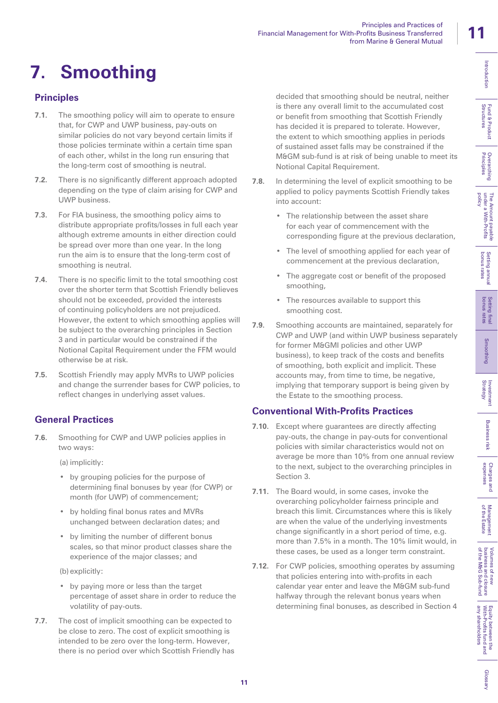of the Estate Management

Management<br>of the Estate

Glossan

# **7. Smoothing**

# **Principles**

- **7.1.** The smoothing policy will aim to operate to ensure that, for CWP and UWP business, pay-outs on similar policies do not vary beyond certain limits if those policies terminate within a certain time span of each other, whilst in the long run ensuring that the long-term cost of smoothing is neutral.
- **7.2.** There is no significantly different approach adopted depending on the type of claim arising for CWP and UWP business.
- **7.3.** For FIA business, the smoothing policy aims to distribute appropriate profits/losses in full each year although extreme amounts in either direction could be spread over more than one year. In the long run the aim is to ensure that the long-term cost of smoothing is neutral.
- **7.4.** There is no specific limit to the total smoothing cost over the shorter term that Scottish Friendly believes should not be exceeded, provided the interests of continuing policyholders are not prejudiced. However, the extent to which smoothing applies will be subject to the overarching principles in Section 3 and in particular would be constrained if the Notional Capital Requirement under the FFM would otherwise be at risk.
- **7.5.** Scottish Friendly may apply MVRs to UWP policies and change the surrender bases for CWP policies, to reflect changes in underlying asset values.

# **General Practices**

**7.6.** Smoothing for CWP and UWP policies applies in two ways:

(a) implicitly:

- by grouping policies for the purpose of determining final bonuses by year (for CWP) or month (for UWP) of commencement;
- by holding final bonus rates and MVRs unchanged between declaration dates; and
- by limiting the number of different bonus scales, so that minor product classes share the experience of the major classes; and

(b) explicitly:

- by paying more or less than the target percentage of asset share in order to reduce the volatility of pay-outs.
- **7.7.** The cost of implicit smoothing can be expected to be close to zero. The cost of explicit smoothing is intended to be zero over the long-term. However, there is no period over which Scottish Friendly has

decided that smoothing should be neutral, neither is there any overall limit to the accumulated cost or benefit from smoothing that Scottish Friendly has decided it is prepared to tolerate. However, the extent to which smoothing applies in periods of sustained asset falls may be constrained if the M&GM sub-fund is at risk of being unable to meet its Notional Capital Requirement.

Principles and Practices of

from Marine & General Mutual

**7.8.** In determining the level of explicit smoothing to be applied to policy payments Scottish Friendly takes into account:

Financial Management for With-Profits Business Transferred

- The relationship between the asset share for each year of commencement with the corresponding figure at the previous declaration,
- The level of smoothing applied for each year of commencement at the previous declaration,
- The aggregate cost or benefit of the proposed smoothing,
- The resources available to support this smoothing cost.
- **7.9.** Smoothing accounts are maintained, separately for CWP and UWP (and within UWP business separately for former M&GMI policies and other UWP business), to keep track of the costs and benefits of smoothing, both explicit and implicit. These accounts may, from time to time, be negative, implying that temporary support is being given by the Estate to the smoothing process.

# **Conventional With-Profits Practices**

- **7.10.** Except where guarantees are directly affecting pay-outs, the change in pay-outs for conventional policies with similar characteristics would not on average be more than 10% from one annual review to the next, subject to the overarching principles in Section 3.
- **7.11.** The Board would, in some cases, invoke the overarching policyholder fairness principle and breach this limit. Circumstances where this is likely are when the value of the underlying investments change significantly in a short period of time, e.g. more than 7.5% in a month. The 10% limit would, in these cases, be used as a longer term constraint.
- **7.12.** For CWP policies, smoothing operates by assuming that policies entering into with-profits in each calendar year enter and leave the M&GM sub-fund halfway through the relevant bonus years when determining final bonuses, as described in Section 4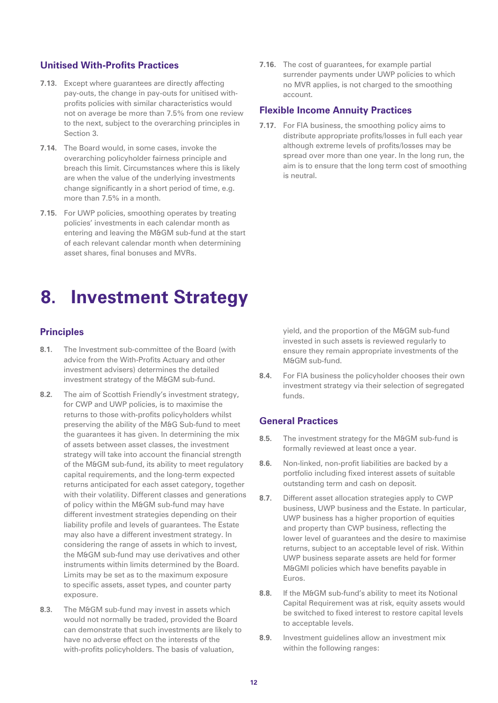#### **Unitised With-Profits Practices**

- **7.13.** Except where guarantees are directly affecting pay-outs, the change in pay-outs for unitised withprofits policies with similar characteristics would not on average be more than 7.5% from one review to the next, subject to the overarching principles in Section 3.
- **7.14.** The Board would, in some cases, invoke the overarching policyholder fairness principle and breach this limit. Circumstances where this is likely are when the value of the underlying investments change significantly in a short period of time, e.g. more than 7.5% in a month.
- **7.15.** For UWP policies, smoothing operates by treating policies' investments in each calendar month as entering and leaving the M&GM sub-fund at the start of each relevant calendar month when determining asset shares, final bonuses and MVRs.

**7.16.** The cost of guarantees, for example partial surrender payments under UWP policies to which no MVR applies, is not charged to the smoothing account.

#### **Flexible Income Annuity Practices**

**7.17.** For FIA business, the smoothing policy aims to distribute appropriate profits/losses in full each year although extreme levels of profits/losses may be spread over more than one year. In the long run, the aim is to ensure that the long term cost of smoothing is neutral.

# **8. Investment Strategy**

## **Principles**

- **8.1.** The Investment sub-committee of the Board (with advice from the With-Profits Actuary and other investment advisers) determines the detailed investment strategy of the M&GM sub-fund.
- **8.2.** The aim of Scottish Friendly's investment strategy, for CWP and UWP policies, is to maximise the returns to those with-profits policyholders whilst preserving the ability of the M&G Sub-fund to meet the guarantees it has given. In determining the mix of assets between asset classes, the investment strategy will take into account the financial strength of the M&GM sub-fund, its ability to meet regulatory capital requirements, and the long-term expected returns anticipated for each asset category, together with their volatility. Different classes and generations of policy within the M&GM sub-fund may have different investment strategies depending on their liability profile and levels of guarantees. The Estate may also have a different investment strategy. In considering the range of assets in which to invest, the M&GM sub-fund may use derivatives and other instruments within limits determined by the Board. Limits may be set as to the maximum exposure to specific assets, asset types, and counter party exposure.
- **8.3.** The M&GM sub-fund may invest in assets which would not normally be traded, provided the Board can demonstrate that such investments are likely to have no adverse effect on the interests of the with-profits policyholders. The basis of valuation,

yield, and the proportion of the M&GM sub-fund invested in such assets is reviewed regularly to ensure they remain appropriate investments of the M&GM sub-fund.

**8.4.** For FIA business the policyholder chooses their own investment strategy via their selection of segregated funds.

#### **General Practices**

- **8.5.** The investment strategy for the M&GM sub-fund is formally reviewed at least once a year.
- **8.6.** Non-linked, non-profit liabilities are backed by a portfolio including fixed interest assets of suitable outstanding term and cash on deposit.
- **8.7.** Different asset allocation strategies apply to CWP business, UWP business and the Estate. In particular, UWP business has a higher proportion of equities and property than CWP business, reflecting the lower level of guarantees and the desire to maximise returns, subject to an acceptable level of risk. Within UWP business separate assets are held for former M&GMI policies which have benefits payable in Euros.
- **8.8.** If the M&GM sub-fund's ability to meet its Notional Capital Requirement was at risk, equity assets would be switched to fixed interest to restore capital levels to acceptable levels.
- **8.9.** Investment guidelines allow an investment mix within the following ranges: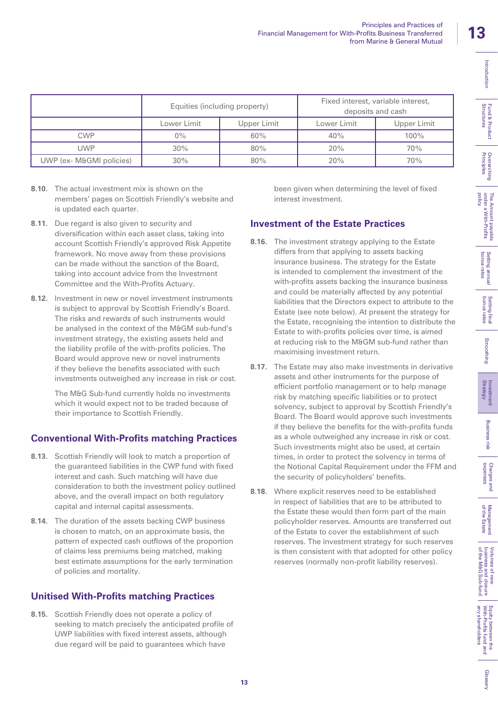|                          | Equities (including property) |             |             | Fixed interest, variable interest,<br>deposits and cash |
|--------------------------|-------------------------------|-------------|-------------|---------------------------------------------------------|
|                          | Lower Limit                   | Upper Limit | Lower Limit | Upper Limit                                             |
| <b>CWP</b>               | $0\%$                         | 60%         | 40%         | $100\%$                                                 |
| UWP                      | 30%                           | 80%         | 20%         | 70%                                                     |
| UWP (ex- M&GMI policies) | 30%                           | 80%         | 20%         | 70%                                                     |

- **8.10.** The actual investment mix is shown on the members' pages on Scottish Friendly's website and is updated each quarter.
- **8.11.** Due regard is also given to security and diversification within each asset class, taking into account Scottish Friendly's approved Risk Appetite framework. No move away from these provisions can be made without the sanction of the Board, taking into account advice from the Investment Committee and the With-Profits Actuary.
- **8.12.** Investment in new or novel investment instruments is subject to approval by Scottish Friendly's Board. The risks and rewards of such instruments would be analysed in the context of the M&GM sub-fund's investment strategy, the existing assets held and the liability profile of the with-profits policies. The Board would approve new or novel instruments if they believe the benefits associated with such investments outweighed any increase in risk or cost.

The M&G Sub-fund currently holds no investments which it would expect not to be traded because of their importance to Scottish Friendly.

# **Conventional With-Profits matching Practices**

- **8.13.** Scottish Friendly will look to match a proportion of the guaranteed liabilities in the CWP fund with fixed interest and cash. Such matching will have due consideration to both the investment policy outlined above, and the overall impact on both regulatory capital and internal capital assessments.
- **8.14.** The duration of the assets backing CWP business is chosen to match, on an approximate basis, the pattern of expected cash outflows of the proportion of claims less premiums being matched, making best estimate assumptions for the early termination of policies and mortality.

# **Unitised With-Profits matching Practices**

**8.15.** Scottish Friendly does not operate a policy of seeking to match precisely the anticipated profile of UWP liabilities with fixed interest assets, although due regard will be paid to guarantees which have

been given when determining the level of fixed interest investment.

## **Investment of the Estate Practices**

- **8.16.** The investment strategy applying to the Estate differs from that applying to assets backing insurance business. The strategy for the Estate is intended to complement the investment of the with-profits assets backing the insurance business and could be materially affected by any potential liabilities that the Directors expect to attribute to the Estate (see note below). At present the strategy for the Estate, recognising the intention to distribute the Estate to with-profits policies over time, is aimed at reducing risk to the M&GM sub-fund rather than maximising investment return.
- **8.17.** The Estate may also make investments in derivative assets and other instruments for the purpose of efficient portfolio management or to help manage risk by matching specific liabilities or to protect solvency, subject to approval by Scottish Friendly's Board. The Board would approve such investments if they believe the benefits for the with-profits funds as a whole outweighed any increase in risk or cost. Such investments might also be used, at certain times, in order to protect the solvency in terms of the Notional Capital Requirement under the FFM and the security of policyholders' benefits.
- **8.18.** Where explicit reserves need to be established in respect of liabilities that are to be attributed to the Estate these would then form part of the main policyholder reserves. Amounts are transferred out of the Estate to cover the establishment of such reserves. The investment strategy for such reserves is then consistent with that adopted for other policy reserves (normally non-profit liability reserves).

**13**

Introduction

Charges and<br>expenses

Glossan

any shareholders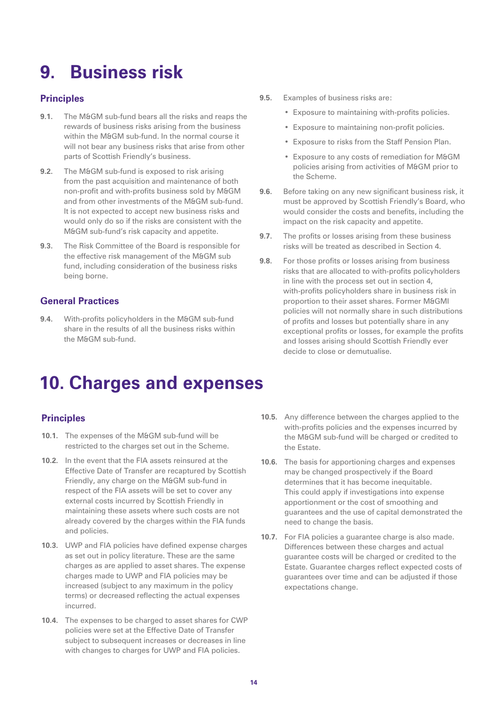# **9. Business risk**

## **Principles**

- **9.1.** The M&GM sub-fund bears all the risks and reaps the rewards of business risks arising from the business within the M&GM sub-fund. In the normal course it will not bear any business risks that arise from other parts of Scottish Friendly's business.
- **9.2.** The M&GM sub-fund is exposed to risk arising from the past acquisition and maintenance of both non-profit and with-profits business sold by M&GM and from other investments of the M&GM sub-fund. It is not expected to accept new business risks and would only do so if the risks are consistent with the M&GM sub-fund's risk capacity and appetite.
- **9.3.** The Risk Committee of the Board is responsible for the effective risk management of the M&GM sub fund, including consideration of the business risks being borne.

## **General Practices**

**9.4.** With-profits policyholders in the M&GM sub-fund share in the results of all the business risks within the M&GM sub-fund.

- **9.5.** Examples of business risks are:
	- Exposure to maintaining with-profits policies.
	- Exposure to maintaining non-profit policies.
	- Exposure to risks from the Staff Pension Plan.
	- Exposure to any costs of remediation for M&GM policies arising from activities of M&GM prior to the Scheme.
- **9.6.** Before taking on any new significant business risk, it must be approved by Scottish Friendly's Board, who would consider the costs and benefits, including the impact on the risk capacity and appetite.
- **9.7.** The profits or losses arising from these business risks will be treated as described in Section 4.
- **9.8.** For those profits or losses arising from business risks that are allocated to with-profits policyholders in line with the process set out in section 4, with-profits policyholders share in business risk in proportion to their asset shares. Former M&GMI policies will not normally share in such distributions of profits and losses but potentially share in any exceptional profits or losses, for example the profits and losses arising should Scottish Friendly ever decide to close or demutualise.

# **10. Charges and expenses**

## **Principles**

- 10.1. The expenses of the M&GM sub-fund will be restricted to the charges set out in the Scheme.
- **10.2.** In the event that the FIA assets reinsured at the Effective Date of Transfer are recaptured by Scottish Friendly, any charge on the M&GM sub-fund in respect of the FIA assets will be set to cover any external costs incurred by Scottish Friendly in maintaining these assets where such costs are not already covered by the charges within the FIA funds and policies.
- **10.3.** UWP and FIA policies have defined expense charges as set out in policy literature. These are the same charges as are applied to asset shares. The expense charges made to UWP and FIA policies may be increased (subject to any maximum in the policy terms) or decreased reflecting the actual expenses incurred.
- **10.4.** The expenses to be charged to asset shares for CWP policies were set at the Effective Date of Transfer subject to subsequent increases or decreases in line with changes to charges for UWP and FIA policies.
- **10.5.** Any difference between the charges applied to the with-profits policies and the expenses incurred by the M&GM sub-fund will be charged or credited to the Estate.
- **10.6.** The basis for apportioning charges and expenses may be changed prospectively if the Board determines that it has become inequitable. This could apply if investigations into expense apportionment or the cost of smoothing and guarantees and the use of capital demonstrated the need to change the basis.
- **10.7.** For FIA policies a guarantee charge is also made. Differences between these charges and actual guarantee costs will be charged or credited to the Estate. Guarantee charges reflect expected costs of guarantees over time and can be adjusted if those expectations change.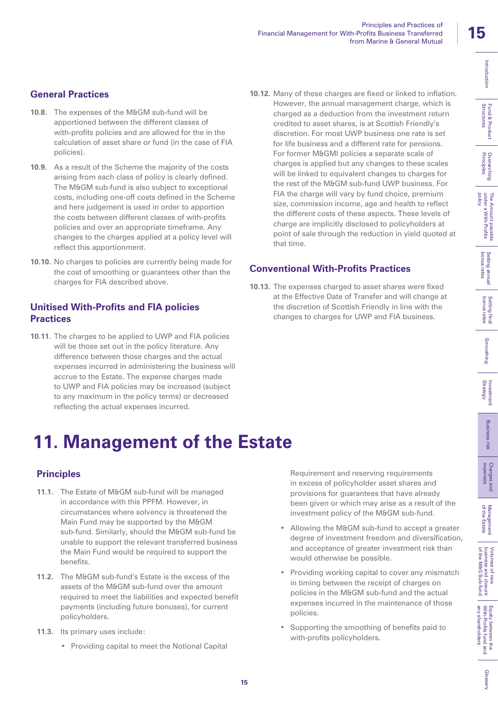Overarching

polic

Glossan

# **General Practices**

- **10.8.** The expenses of the M&GM sub-fund will be apportioned between the different classes of with-profits policies and are allowed for the in the calculation of asset share or fund (in the case of FIA policies).
- **10.9.** As a result of the Scheme the majority of the costs arising from each class of policy is clearly defined. The M&GM sub-fund is also subject to exceptional costs, including one-off costs defined in the Scheme and here judgement is used in order to apportion the costs between different classes of with-profits policies and over an appropriate timeframe. Any changes to the charges applied at a policy level will reflect this apportionment.
- **10.10.** No charges to policies are currently being made for the cost of smoothing or guarantees other than the charges for FIA described above.

## **Unitised With-Profits and FIA policies Practices**

**10.11.** The charges to be applied to UWP and FIA policies will be those set out in the policy literature. Any difference between those charges and the actual expenses incurred in administering the business will accrue to the Estate. The expense charges made to UWP and FIA policies may be increased (subject to any maximum in the policy terms) or decreased reflecting the actual expenses incurred.

**10.12.** Many of these charges are fixed or linked to inflation. However, the annual management charge, which is charged as a deduction from the investment return credited to asset shares, is at Scottish Friendly's discretion. For most UWP business one rate is set for life business and a different rate for pensions. For former M&GMI policies a separate scale of charges is applied but any changes to these scales will be linked to equivalent changes to charges for the rest of the M&GM sub-fund UWP business. For FIA the charge will vary by fund choice, premium size, commission income, age and health to reflect the different costs of these aspects. These levels of charge are implicitly disclosed to policyholders at point of sale through the reduction in yield quoted at that time.

## **Conventional With-Profits Practices**

**10.13.** The expenses charged to asset shares were fixed at the Effective Date of Transfer and will change at the discretion of Scottish Friendly in line with the changes to charges for UWP and FIA business.

# **11. Management of the Estate**

# **Principles**

- **11.1.** The Estate of M&GM sub-fund will be managed in accordance with this PPFM. However, in circumstances where solvency is threatened the Main Fund may be supported by the M&GM sub-fund. Similarly, should the M&GM sub-fund be unable to support the relevant transferred business the Main Fund would be required to support the benefits.
- **11.2.** The M&GM sub-fund's Estate is the excess of the assets of the M&GM sub-fund over the amount required to meet the liabilities and expected benefit payments (including future bonuses), for current policyholders.
- **11.3.** Its primary uses include:
	- Providing capital to meet the Notional Capital

Requirement and reserving requirements in excess of policyholder asset shares and provisions for guarantees that have already been given or which may arise as a result of the investment policy of the M&GM sub-fund.

- Allowing the M&GM sub-fund to accept a greater degree of investment freedom and diversification, and acceptance of greater investment risk than would otherwise be possible.
- Providing working capital to cover any mismatch in timing between the receipt of charges on policies in the M&GM sub-fund and the actual expenses incurred in the maintenance of those policies.
- Supporting the smoothing of benefits paid to with-profits policyholders.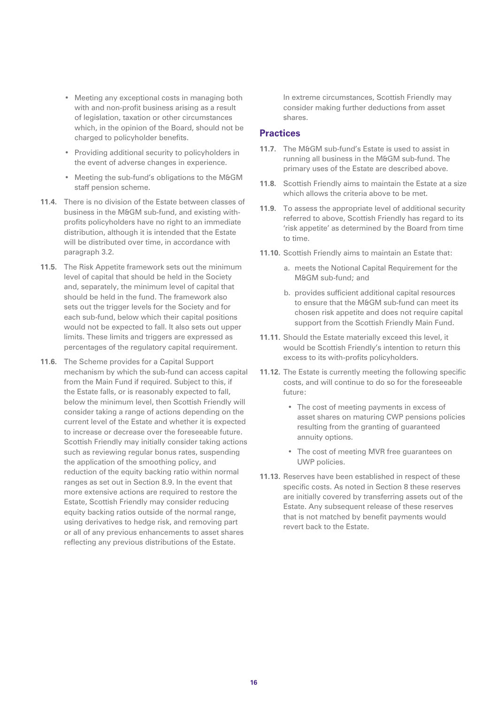- Meeting any exceptional costs in managing both with and non-profit business arising as a result of legislation, taxation or other circumstances which, in the opinion of the Board, should not be charged to policyholder benefits.
- Providing additional security to policyholders in the event of adverse changes in experience.
- Meeting the sub-fund's obligations to the M&GM staff pension scheme.
- **11.4.** There is no division of the Estate between classes of business in the M&GM sub-fund, and existing withprofits policyholders have no right to an immediate distribution, although it is intended that the Estate will be distributed over time, in accordance with paragraph 3.2.
- **11.5.** The Risk Appetite framework sets out the minimum level of capital that should be held in the Society and, separately, the minimum level of capital that should be held in the fund. The framework also sets out the trigger levels for the Society and for each sub-fund, below which their capital positions would not be expected to fall. It also sets out upper limits. These limits and triggers are expressed as percentages of the regulatory capital requirement.
- **11.6.** The Scheme provides for a Capital Support mechanism by which the sub-fund can access capital from the Main Fund if required. Subject to this, if the Estate falls, or is reasonably expected to fall, below the minimum level, then Scottish Friendly will consider taking a range of actions depending on the current level of the Estate and whether it is expected to increase or decrease over the foreseeable future. Scottish Friendly may initially consider taking actions such as reviewing regular bonus rates, suspending the application of the smoothing policy, and reduction of the equity backing ratio within normal ranges as set out in Section 8.9. In the event that more extensive actions are required to restore the Estate, Scottish Friendly may consider reducing equity backing ratios outside of the normal range, using derivatives to hedge risk, and removing part or all of any previous enhancements to asset shares reflecting any previous distributions of the Estate.

In extreme circumstances, Scottish Friendly may consider making further deductions from asset shares.

#### **Practices**

- **11.7.** The M&GM sub-fund's Estate is used to assist in running all business in the M&GM sub-fund. The primary uses of the Estate are described above.
- **11.8.** Scottish Friendly aims to maintain the Estate at a size which allows the criteria above to be met.
- **11.9.** To assess the appropriate level of additional security referred to above, Scottish Friendly has regard to its 'risk appetite' as determined by the Board from time to time.
- **11.10.** Scottish Friendly aims to maintain an Estate that:
	- a. meets the Notional Capital Requirement for the M&GM sub-fund; and
	- b. provides sufficient additional capital resources to ensure that the M&GM sub-fund can meet its chosen risk appetite and does not require capital support from the Scottish Friendly Main Fund.
- **11.11.** Should the Estate materially exceed this level, it would be Scottish Friendly's intention to return this excess to its with-profits policyholders.
- **11.12.** The Estate is currently meeting the following specific costs, and will continue to do so for the foreseeable future:
	- The cost of meeting payments in excess of asset shares on maturing CWP pensions policies resulting from the granting of guaranteed annuity options.
	- The cost of meeting MVR free guarantees on UWP policies.
- **11.13.** Reserves have been established in respect of these specific costs. As noted in Section 8 these reserves are initially covered by transferring assets out of the Estate. Any subsequent release of these reserves that is not matched by benefit payments would revert back to the Estate.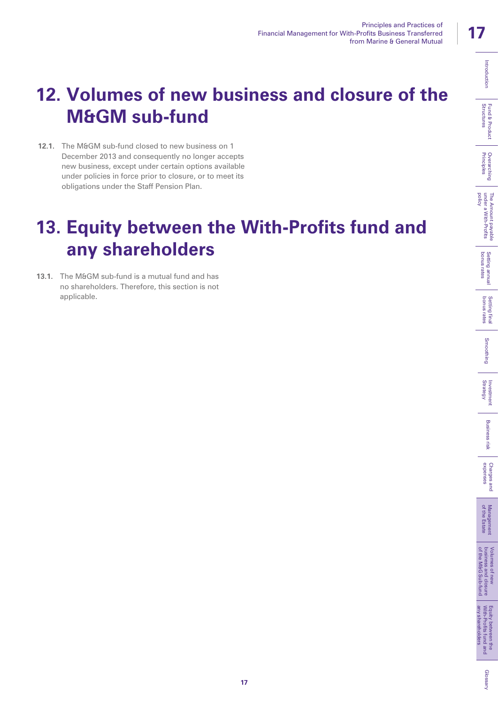# Fund & Product<br>Structures

# Glossan

# **12. Volumes of new business and closure of the M&GM sub-fund**

12.1. The M&GM sub-fund closed to new business on 1 December 2013 and consequently no longer accepts new business, except under certain options available under policies in force prior to closure, or to meet its obligations under the Staff Pension Plan.

# **13. Equity between the With-Profits fund and any shareholders**

**13.1.** The M&GM sub-fund is a mutual fund and has no shareholders. Therefore, this section is not applicable.